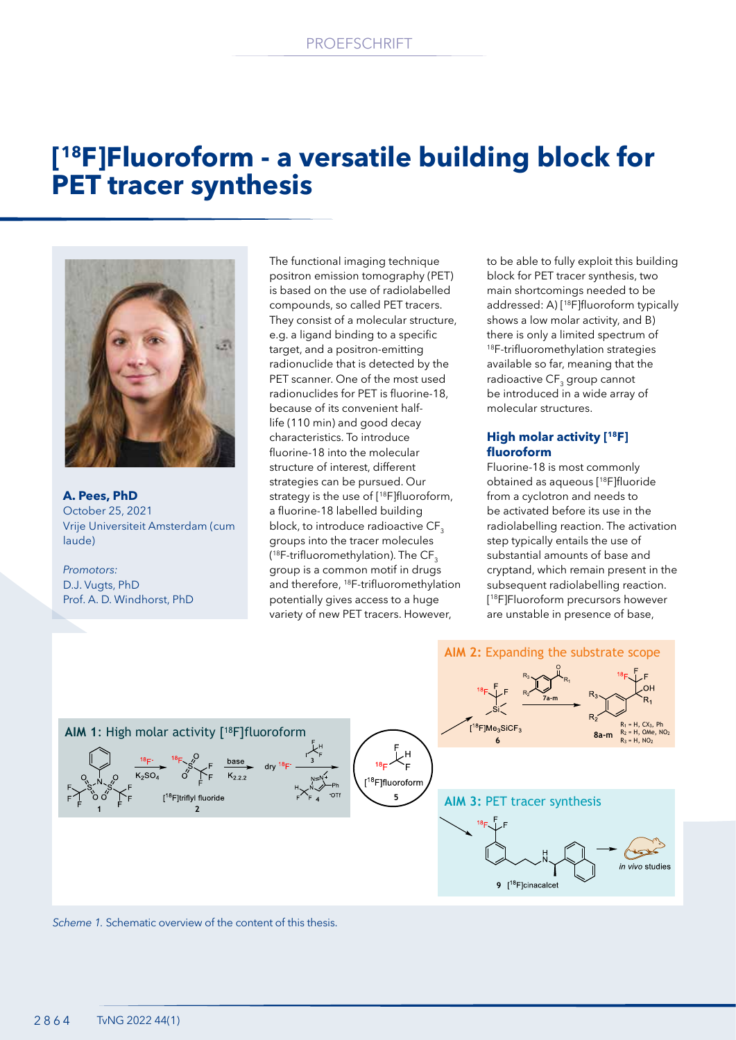# **[18F]Fluoroform - a versatile building block for PET tracer synthesis**



**A. Pees, PhD** October 25, 2021 Vrije Universiteit Amsterdam (cum laude)

*Promotors:* D.J. Vugts, PhD Prof. A. D. Windhorst, PhD The functional imaging technique positron emission tomography (PET) is based on the use of radiolabelled compounds, so called PET tracers. They consist of a molecular structure, e.g. a ligand binding to a specific target, and a positron-emitting radionuclide that is detected by the PET scanner. One of the most used radionuclides for PET is fluorine-18, because of its convenient halflife (110 min) and good decay characteristics. To introduce fluorine-18 into the molecular structure of interest, different strategies can be pursued. Our strategy is the use of [<sup>18</sup>F]fluoroform, a fluorine-18 labelled building block, to introduce radioactive CF<sub>3</sub> groups into the tracer molecules ( $^{18}$ F-trifluoromethylation). The CF $_{\scriptscriptstyle 3}$ group is a common motif in drugs and therefore, 18F-trifluoromethylation potentially gives access to a huge variety of new PET tracers. However,

to be able to fully exploit this building block for PET tracer synthesis, two main shortcomings needed to be addressed: A) [18F]fluoroform typically shows a low molar activity, and B) there is only a limited spectrum of <sup>18</sup>F-trifluoromethylation strategies available so far, meaning that the radioactive CF<sub>3</sub> group cannot be introduced in a wide array of molecular structures.

### **High molar activity [18F] fluoroform**

Fluorine-18 is most commonly obtained as aqueous [18F]fluoride from a cyclotron and needs to be activated before its use in the radiolabelling reaction. The activation step typically entails the use of substantial amounts of base and cryptand, which remain present in the subsequent radiolabelling reaction. [ 18F]Fluoroform precursors however are unstable in presence of base,



*Scheme 1.* Schematic overview of the content of this thesis.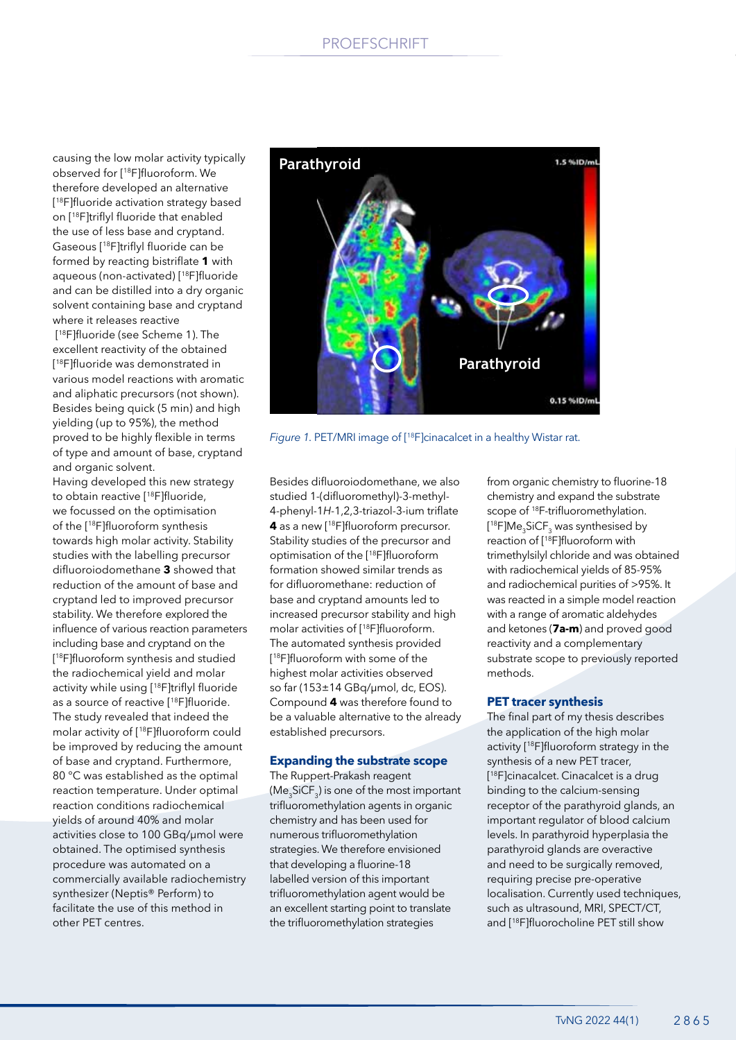## PROEFSCHRIFT

causing the low molar activity typically observed for [18F]fluoroform. We therefore developed an alternative [ <sup>18</sup>F]fluoride activation strategy based on [18F]triflyl fluoride that enabled the use of less base and cryptand. Gaseous [18F]triflyl fluoride can be formed by reacting bistriflate **1** with aqueous (non-activated) [18F]fluoride and can be distilled into a dry organic solvent containing base and cryptand where it releases reactive

 [18F]fluoride (see Scheme 1). The excellent reactivity of the obtained [ <sup>18</sup>F]fluoride was demonstrated in various model reactions with aromatic and aliphatic precursors (not shown). Besides being quick (5 min) and high yielding (up to 95%), the method proved to be highly flexible in terms of type and amount of base, cryptand and organic solvent.

Having developed this new strategy to obtain reactive [18F]fluoride, we focussed on the optimisation of the [18F]fluoroform synthesis towards high molar activity. Stability studies with the labelling precursor difluoroiodomethane **3** showed that reduction of the amount of base and cryptand led to improved precursor stability. We therefore explored the influence of various reaction parameters including base and cryptand on the [ <sup>18</sup>F]fluoroform synthesis and studied the radiochemical yield and molar activity while using [18F]triflyl fluoride as a source of reactive [18F]fluoride. The study revealed that indeed the molar activity of [18F]fluoroform could be improved by reducing the amount of base and cryptand. Furthermore, 80 °C was established as the optimal reaction temperature. Under optimal reaction conditions radiochemical yields of around 40% and molar activities close to 100 GBq/µmol were obtained. The optimised synthesis procedure was automated on a commercially available radiochemistry synthesizer (Neptis® Perform) to facilitate the use of this method in other PET centres.



*Figure 1.* PET/MRI image of [18F]cinacalcet in a healthy Wistar rat.

Besides difluoroiodomethane, we also studied 1-(difluoromethyl)-3-methyl-4-phenyl-1*H*-1,2,3-triazol-3-ium triflate **4** as a new [18F]fluoroform precursor. Stability studies of the precursor and optimisation of the [18F]fluoroform formation showed similar trends as for difluoromethane: reduction of base and cryptand amounts led to increased precursor stability and high molar activities of [18F]fluoroform. The automated synthesis provided [ <sup>18</sup>F]fluoroform with some of the highest molar activities observed so far (153±14 GBq/µmol, dc, EOS). Compound **4** was therefore found to be a valuable alternative to the already established precursors.

#### **Expanding the substrate scope**

The Ruppert-Prakash reagent (Me $_{3}$ SiCF $_{3}$ ) is one of the most important trifluoromethylation agents in organic chemistry and has been used for numerous trifluoromethylation strategies. We therefore envisioned that developing a fluorine-18 labelled version of this important trifluoromethylation agent would be an excellent starting point to translate the trifluoromethylation strategies

from organic chemistry to fluorine-18 chemistry and expand the substrate scope of 18F-trifluoromethylation. [<sup>18</sup>F]Me<sub>3</sub>SiCF<sub>3</sub> was synthesised by reaction of [<sup>18</sup>F]fluoroform with trimethylsilyl chloride and was obtained with radiochemical yields of 85-95% and radiochemical purities of >95%. It was reacted in a simple model reaction with a range of aromatic aldehydes and ketones (**7a-m**) and proved good reactivity and a complementary substrate scope to previously reported methods.

#### **PET tracer synthesis**

The final part of my thesis describes the application of the high molar activity [18F]fluoroform strategy in the synthesis of a new PET tracer, [ 18F]cinacalcet. Cinacalcet is a drug binding to the calcium-sensing receptor of the parathyroid glands, an important regulator of blood calcium levels. In parathyroid hyperplasia the parathyroid glands are overactive and need to be surgically removed, requiring precise pre-operative localisation. Currently used techniques, such as ultrasound, MRI, SPECT/CT, and [18F]fluorocholine PET still show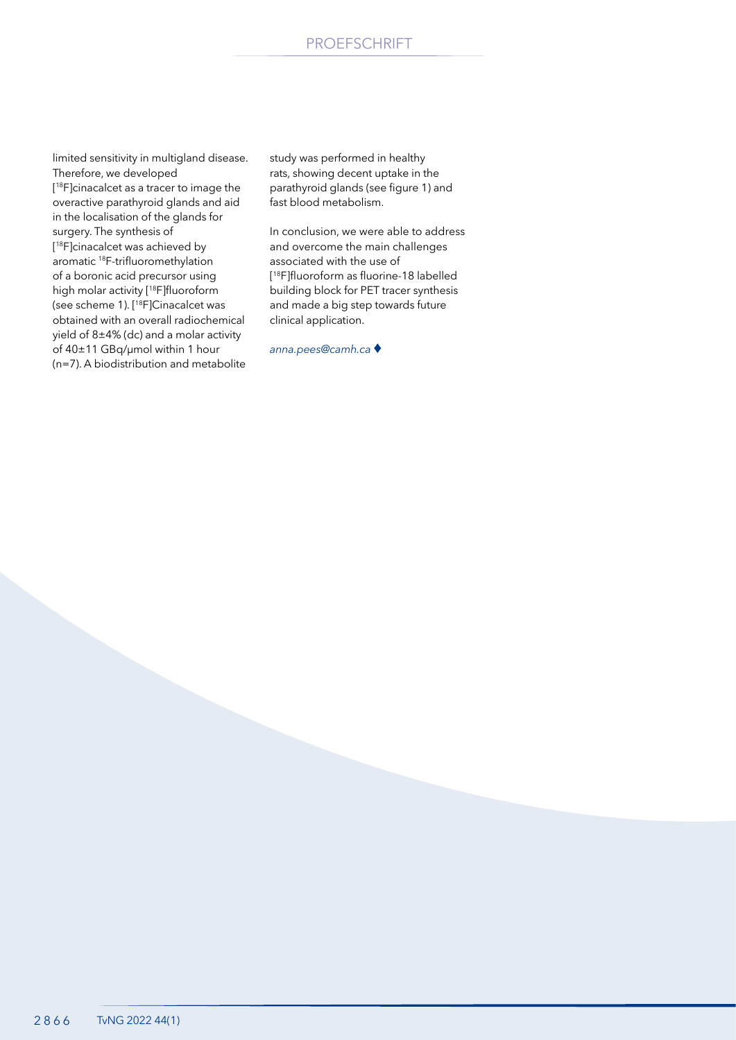limited sensitivity in multigland disease. Therefore, we developed [ 18F]cinacalcet as a tracer to image the overactive parathyroid glands and aid in the localisation of the glands for surgery. The synthesis of [ 18F]cinacalcet was achieved by aromatic 18F-trifluoromethylation of a boronic acid precursor using high molar activity [18F]fluoroform (see scheme 1). [18F]Cinacalcet was obtained with an overall radiochemical yield of 8±4% (dc) and a molar activity of 40±11 GBq/µmol within 1 hour (n=7). A biodistribution and metabolite

study was performed in healthy rats, showing decent uptake in the parathyroid glands (see figure 1) and fast blood metabolism.

In conclusion, we were able to address and overcome the main challenges associated with the use of [ <sup>18</sup>F]fluoroform as fluorine-18 labelled building block for PET tracer synthesis and made a big step towards future clinical application.

*anna.pees@camh.ca* ♦